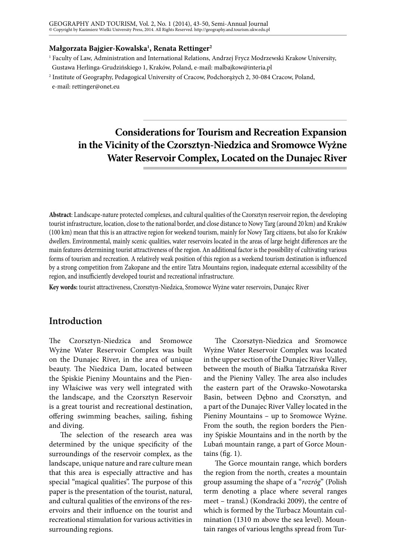#### **Małgorzata Bajgier-Kowalska1 , Renata Rettinger2**

1 Faculty of Law, Administration and International Relations, Andrzej Frycz Modrzewski Krakow University, Gustawa Herlinga-Grudzińskiego 1, Kraków, Poland, e-mail: malbajkow@interia.pl

2 Institute of Geography, Pedagogical University of Cracow, Podchorążych 2, 30-084 Cracow, Poland, e-mail: [rettinger@onet.eu](mailto:rettinger@onet.eu)

# **Considerations for Tourism and Recreation Expansion in the Vicinity of the Czorsztyn-Niedzica and Sromowce Wyżne Water Reservoir Complex, Located on the Dunajec River**

**Abstract**: Landscape-nature protected complexes, and cultural qualities of the Czorsztyn reservoir region, the developing tourist infrastructure, location, close to the national border, and close distance to Nowy Targ (around 20 km) and Kraków (100 km) mean that this is an attractive region for weekend tourism, mainly for Nowy Targ citizens, but also for Kraków dwellers. Environmental, mainly scenic qualities, water reservoirs located in the areas of large height differences are the main features determining tourist attractiveness of the region. An additional factor is the possibility of cultivating various forms of tourism and recreation. A relatively weak position of this region as a weekend tourism destination is influenced by a strong competition from Zakopane and the entire Tatra Mountains region, inadequate external accessibility of the region, and insufficiently developed tourist and recreational infrastructure.

**Key words:** tourist attractiveness, Czorsztyn-Niedzica, Sromowce Wyżne water reservoirs, Dunajec River

## **Introduction**

The Czorsztyn-Niedzica and Sromowce Wyżne Water Reservoir Complex was built on the Dunajec River, in the area of unique beauty. The Niedzica Dam, located between the Spiskie Pieniny Mountains and the Pieniny Właściwe was very well integrated with the landscape, and the Czorsztyn Reservoir is a great tourist and recreational destination, offering swimming beaches, sailing, fishing and diving.

The selection of the research area was determined by the unique specificity of the surroundings of the reservoir complex, as the landscape, unique nature and rare culture mean that this area is especially attractive and has special "magical qualities". The purpose of this paper is the presentation of the tourist, natural, and cultural qualities of the environs of the reservoirs and their influence on the tourist and recreational stimulation for various activities in surrounding regions.

The Czorsztyn-Niedzica and Sromowce Wyżne Water Reservoir Complex was located in the upper section of the Dunajec River Valley, between the mouth of Białka Tatrzańska River and the Pieniny Valley. The area also includes the eastern part of the Orawsko-Nowotarska Basin, between Dębno and Czorsztyn, and a part of the Dunajec River Valley located in the Pieniny Mountains – up to Sromowce Wyżne. From the south, the region borders the Pieniny Spiskie Mountains and in the north by the Lubań mountain range, a part of Gorce Mountains (fig. 1).

The Gorce mountain range, which borders the region from the north, creates a mountain group assuming the shape of a "*rozróg*" (Polish term denoting a place where several ranges meet – transl.) (Kondracki 2009), the centre of which is formed by the Turbacz Mountain culmination (1310 m above the sea level). Mountain ranges of various lengths spread from Tur-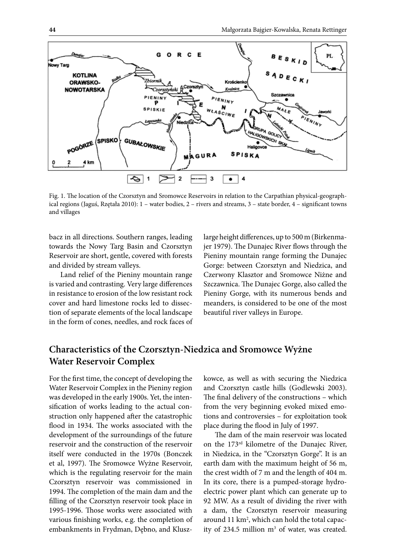

Fig. 1. The location of the Czorsztyn and Sromowce Reservoirs in relation to the Carpathian physical-geographical regions (Jaguś, Rzętała 2010): 1 – water bodies, 2 – rivers and streams, 3 – state border, 4 – significant towns and villages

bacz in all directions. Southern ranges, leading towards the Nowy Targ Basin and Czorsztyn Reservoir are short, gentle, covered with forests and divided by stream valleys.

Land relief of the Pieniny mountain range is varied and contrasting. Very large differences in resistance to erosion of the low resistant rock cover and hard limestone rocks led to dissection of separate elements of the local landscape in the form of cones, needles, and rock faces of large height differences, up to 500 m (Birkenmajer 1979). The Dunajec River flows through the Pieniny mountain range forming the Dunajec Gorge: between Czorsztyn and Niedzica, and Czerwony Klasztor and Sromowce Niżne and Szczawnica. The Dunajec Gorge, also called the Pieniny Gorge, with its numerous bends and meanders, is considered to be one of the most beautiful river valleys in Europe.

## **Characteristics of the Czorsztyn-Niedzica and Sromowce Wyżne Water Reservoir Complex**

For the first time, the concept of developing the Water Reservoir Complex in the Pieniny region was developed in the early 1900s. Yet, the intensification of works leading to the actual construction only happened after the catastrophic flood in 1934. The works associated with the development of the surroundings of the future reservoir and the construction of the reservoir itself were conducted in the 1970s (Bonczek et al, 1997). The Sromowce Wyżne Reservoir, which is the regulating reservoir for the main Czorsztyn reservoir was commissioned in 1994. The completion of the main dam and the filling of the Czorsztyn reservoir took place in 1995-1996. Those works were associated with various finishing works, e.g. the completion of embankments in Frydman, Dębno, and Kluszkowce, as well as with securing the Niedzica and Czorsztyn castle hills (Godlewski 2003). The final delivery of the constructions – which from the very beginning evoked mixed emotions and controversies – for exploitation took place during the flood in July of 1997.

The dam of the main reservoir was located on the 173rd kilometre of the Dunajec River, in Niedzica, in the "Czorsztyn Gorge". It is an earth dam with the maximum height of 56 m, the crest width of 7 m and the length of 404 m. In its core, there is a pumped-storage hydroelectric power plant which can generate up to 92 MW. As a result of dividing the river with a dam, the Czorsztyn reservoir measuring around 11 km<sup>2</sup>, which can hold the total capacity of 234.5 million  $m<sup>3</sup>$  of water, was created.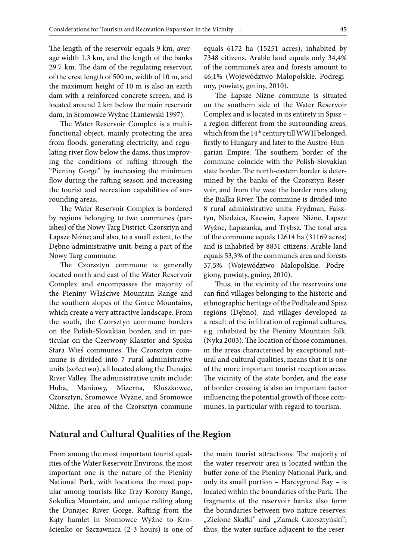The length of the reservoir equals 9 km, average width 1.3 km, and the length of the banks 29.7 km. The dam of the regulating reservoir, of the crest length of 500 m, width of 10 m, and the maximum height of 10 m is also an earth dam with a reinforced concrete screen, and is located around 2 km below the main reservoir dam, in Sromowce Wyżne (Łaniewski 1997).

The Water Reservoir Complex is a multifunctional object, mainly protecting the area from floods, generating electricity, and regulating river flow below the dams, thus improving the conditions of rafting through the "Pieniny Gorge" by increasing the minimum flow during the rafting season and increasing the tourist and recreation capabilities of surrounding areas.

The Water Reservoir Complex is bordered by regions belonging to two communes (parishes) of the Nowy Targ District: Czorsztyn and Łapsze Niżne; and also, to a small extent, to the Dębno administrative unit, being a part of the Nowy Targ commune.

The Czorsztyn commune is generally located north and east of the Water Reservoir Complex and encompasses the majority of the Pieniny Właściwe Mountain Range and the southern slopes of the Gorce Mountains, which create a very attractive landscape. From the south, the Czorsztyn commune borders on the Polish-Slovakian border, and in particular on the Czerwony Klasztor and Spiska Stara Wieś communes. The Czorsztyn commune is divided into 7 rural administrative units (sołectwo), all located along the Dunajec River Valley. The administrative units include: Huba, Maniowy, Mizerna, Kluszkowce, Czorsztyn, Sromowce Wyżne, and Sromowce Niżne. The area of the Czorsztyn commune

equals 6172 ha (15251 acres), inhabited by 7348 citizens. Arable land equals only 34,4% of the commune's area and forests amount to 46,1% (Województwo Małopolskie. Podregiony, powiaty, gminy, 2010).

The Łapsze Niżne commune is situated on the southern side of the Water Reservoir Complex and is located in its entirety in Spisz – a region different from the surrounding areas, which from the 14<sup>th</sup> century till WWII belonged, firstly to Hungary and later to the Austro-Hungarian Empire. The southern border of the commune coincide with the Polish-Slovakian state border. The north-eastern border is determined by the banks of the Czorsztyn Reservoir, and from the west the border runs along the Białka River. The commune is divided into 8 rural administrative units: Frydman, Falsztyn, Niedzica, Kacwin, Łapsze Niżne, Łapsze Wyżne, Łapszanka, and Trybsz. The total area of the commune equals 12614 ha (31169 acres) and is inhabited by 8831 citizens. Arable land equals 53,3% of the commune's area and forests 37,5% (Województwo Małopolskie. Podregiony, powiaty, gminy, 2010).

Thus, in the vicinity of the reservoirs one can find villages belonging to the historic and ethnographic heritage of the Podhale and Spisz regions (Dębno), and villages developed as a result of the infiltration of regional cultures, e.g. inhabited by the Pieniny Mountain folk. (Nyka 2003). The location of those communes, in the areas characterised by exceptional natural and cultural qualities, means that it is one of the more important tourist reception areas. The vicinity of the state border, and the ease of border crossing is also an important factor influencing the potential growth of those communes, in particular with regard to tourism.

#### **Natural and Cultural Qualities of the Region**

From among the most important tourist qualities of the Water Reservoir Environs, the most important one is the nature of the Pieniny National Park, with locations the most popular among tourists like Trzy Korony Range, Sokolica Mountain, and unique rafting along the Dunajec River Gorge. Rafting from the Kąty hamlet in Sromowce Wyżne to Krościenko or Szczawnica (2-3 hours) is one of the main tourist attractions. The majority of the water reservoir area is located within the buffer zone of the Pieniny National Park, and only its small portion – Harcygrund Bay – is located within the boundaries of the Park. The fragments of the reservoir banks also form the boundaries between two nature reserves: "Zielone Skałki" and "Zamek Czorsztyński"; thus, the water surface adjacent to the reser-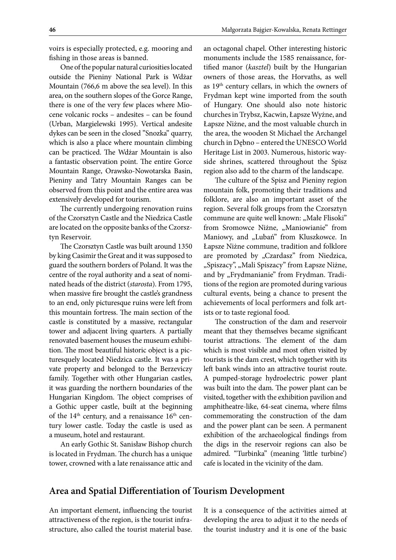Małgorzata Bajgier-Kowalska, Renata Rettinger

voirs is especially protected, e.g. mooring and fishing in those areas is banned.

One of the popular natural curiosities located outside the Pieniny National Park is Wdżar Mountain (766,6 m above the sea level). In this area, on the southern slopes of the Gorce Range, there is one of the very few places where Miocene volcanic rocks – andesites – can be found (Urban, Margielewski 1995). Vertical andesite dykes can be seen in the closed "Snozka" quarry, which is also a place where mountain climbing can be practiced. The Wdżar Mountain is also a fantastic observation point. The entire Gorce Mountain Range, Orawsko-Nowotarska Basin, Pieniny and Tatry Mountain Ranges can be observed from this point and the entire area was extensively developed for tourism.

The currently undergoing renovation ruins of the Czorsztyn Castle and the Niedzica Castle are located on the opposite banks of the Czorsztyn Reservoir.

The Czorsztyn Castle was built around 1350 by king Casimir the Great and it was supposed to guard the southern borders of Poland. It was the centre of the royal authority and a seat of nominated heads of the district (*starosta*). From 1795, when massive fire brought the castle's grandness to an end, only picturesque ruins were left from this mountain fortress. The main section of the castle is constituted by a massive, rectangular tower and adjacent living quarters. A partially renovated basement houses the museum exhibition. The most beautiful historic object is a picturesquely located Niedzica castle. It was a private property and belonged to the Berzeviczy family. Together with other Hungarian castles, it was guarding the northern boundaries of the Hungarian Kingdom. The object comprises of a Gothic upper castle, built at the beginning of the  $14<sup>th</sup>$  century, and a renaissance  $16<sup>th</sup>$  century lower castle. Today the castle is used as a museum, hotel and restaurant.

An early Gothic St. Sanisław Bishop church is located in Frydman. The church has a unique tower, crowned with a late renaissance attic and

an octagonal chapel. Other interesting historic monuments include the 1585 renaissance, fortified manor (*kasztel*) built by the Hungarian owners of those areas, the Horvaths, as well as 19th century cellars, in which the owners of Frydman kept wine imported from the south of Hungary. One should also note historic churches in Trybsz, Kacwin, Łapsze Wyżne, and Łapsze Niżne, and the most valuable church in the area, the wooden St Michael the Archangel church in Dębno – entered the UNESCO World Heritage List in 2003. Numerous, historic wayside shrines, scattered throughout the Spisz region also add to the charm of the landscape.

The culture of the Spisz and Pieniny region mountain folk, promoting their traditions and folklore, are also an important asset of the region. Several folk groups from the Czorsztyn commune are quite well known: "Małe Flisoki" from Sromowce Niżne, "Maniowianie" from Maniowy, and "Lubań" from Kluszkowce. In Łapsze Niżne commune, tradition and folklore are promoted by "Czardasz" from Niedzica, "Spiszacy", "Mali Spiszacy" from Łapsze Niżne, and by "Frydmanianie" from Frydman. Traditions of the region are promoted during various cultural events, being a chance to present the achievements of local performers and folk artists or to taste regional food.

The construction of the dam and reservoir meant that they themselves became significant tourist attractions. The element of the dam which is most visible and most often visited by tourists is the dam crest, which together with its left bank winds into an attractive tourist route. A pumped-storage hydroelectric power plant was built into the dam. The power plant can be visited, together with the exhibition pavilion and amphitheatre-like, 64-seat cinema, where films commemorating the construction of the dam and the power plant can be seen. A permanent exhibition of the archaeological findings from the digs in the reservoir regions can also be admired. "Turbinka" (meaning 'little turbine') cafe is located in the vicinity of the dam.

### **Area and Spatial Differentiation of Tourism Development**

An important element, influencing the tourist attractiveness of the region, is the tourist infrastructure, also called the tourist material base.

It is a consequence of the activities aimed at developing the area to adjust it to the needs of the tourist industry and it is one of the basic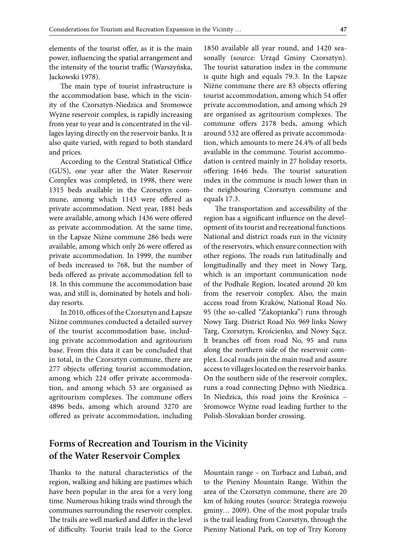elements of the tourist offer, as it is the main power, influencing the spatial arrangement and the intensity of the tourist traffic (Warszyńska, Jackowski 1978).

The main type of tourist infrastructure is the accommodation base, which in the vicinity of the Czorsztyn-Niedzica and Sromowce Wyżne reservoir complex, is rapidly increasing from year to year and is concentrated in the villages laying directly on the reservoir banks. It is also quite varied, with regard to both standard and prices.

According to the Central Statistical Office (GUS), one year after the Water Reservoir Complex was completed, in 1998, there were 1315 beds available in the Czorsztyn commune, among which 1143 were offered as private accommodation. Next year, 1881 beds were available, among which 1436 were offered as private accommodation. At the same time, in the Łapsze Niżne commune 286 beds were available, among which only 26 were offered as private accommodation. In 1999, the number of beds increased to 768, but the number of beds offered as private accommodation fell to 18. In this commune the accommodation base was, and still is, dominated by hotels and holiday resorts.

In 2010, offices of the Czorsztyn and Łapsze Niżne communes conducted a detailed survey of the tourist accommodation base, including private accommodation and agritourism base. From this data it can be concluded that in total, in the Czorsztyn commune, there are 277 objects offering tourist accommodation, among which 224 offer private accommodation, and among which 53 are organised as agritourism complexes. The commune offers 4896 beds, among which around 3270 are offered as private accommodation, including

1850 available all year round, and 1420 seasonally (source: Urząd Gminy Czorsztyn). The tourist saturation index in the commune is quite high and equals 79.3. In the Łapsze Niżne commune there are 83 objects offering tourist accommodation, among which 54 offer private accommodation, and among which 29 are organised as agritourism complexes. The commune offers 2178 beds, among which around 532 are offered as private accommodation, which amounts to mere 24.4% of all beds available in the commune. Tourist accommodation is centred mainly in 27 holiday resorts, offering 1646 beds. The tourist saturation index in the commune is much lower than in the neighbouring Czorsztyn commune and equals 17.3.

The transportation and accessibility of the region has a significant influence on the development of its tourist and recreational functions. National and district roads run in the vicinity of the reservoirs, which ensure connection with other regions. The roads run latitudinally and longitudinally and they meet in Nowy Targ, which is an important communication node of the Podhale Region, located around 20 km from the reservoir complex. Also, the main access road from Kraków, National Road No. 95 (the so-called "Zakopianka") runs through Nowy Targ. District Road No. 969 links Nowy Targ, Czorsztyn, Krościenko, and Nowy Sącz. It branches off from road No, 95 and runs along the northern side of the reservoir complex. Local roads join the main road and assure access to villages located on the reservoir banks. On the southern side of the reservoir complex, runs a road connecting Dębno with Niedzica. In Niedzica, this road joins the Krośnica – Sromowce Wyżne road leading further to the Polish-Slovakian border crossing.

## **Forms of Recreation and Tourism in the Vicinity of the Water Reservoir Complex**

Thanks to the natural characteristics of the region, walking and hiking are pastimes which have been popular in the area for a very long time. Numerous hiking trails wind through the communes surrounding the reservoir complex. The trails are well marked and differ in the level of difficulty. Tourist trails lead to the Gorce

Mountain range – on Turbacz and Lubań, and to the Pieniny Mountain Range. Within the area of the Czorsztyn commune, there are 20 km of hiking routes (source: Strategia rozwoju gminy… 2009). One of the most popular trails is the trail leading from Czorsztyn, through the Pieniny National Park, on top of Trzy Korony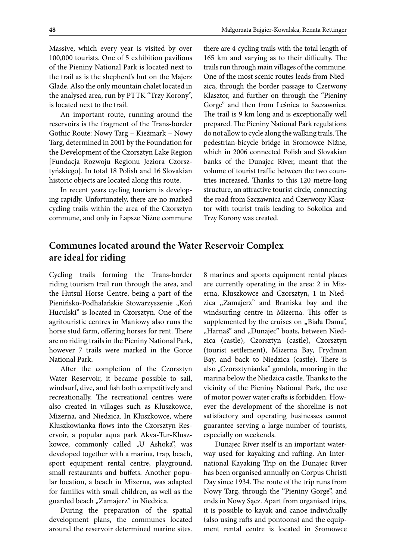Massive, which every year is visited by over 100,000 tourists. One of 5 exhibition pavilions of the Pieniny National Park is located next to the trail as is the shepherd's hut on the Majerz Glade. Also the only mountain chalet located in the analysed area, run by PTTK "Trzy Korony", is located next to the trail.

An important route, running around the reservoirs is the fragment of the Trans-border Gothic Route: Nowy Targ – Kieżmark – Nowy Targ, determined in 2001 by the Foundation for the Development of the Czorsztyn Lake Region [Fundacja Rozwoju Regionu Jeziora Czorsztyńskiego]. In total 18 Polish and 16 Slovakian historic objects are located along this route.

In recent years cycling tourism is developing rapidly. Unfortunately, there are no marked cycling trails within the area of the Czorsztyn commune, and only in Łapsze Niżne commune

there are 4 cycling trails with the total length of 165 km and varying as to their difficulty. The trails run through main villages of the commune. One of the most scenic routes leads from Niedzica, through the border passage to Czerwony Klasztor, and further on through the "Pieniny Gorge" and then from Leśnica to Szczawnica. The trail is 9 km long and is exceptionally well prepared. The Pieniny National Park regulations do not allow to cycle along the walking trails. The pedestrian-bicycle bridge in Sromowce Niżne, which in 2006 connected Polish and Slovakian banks of the Dunajec River, meant that the volume of tourist traffic between the two countries increased. Thanks to this 120 metre-long structure, an attractive tourist circle, connecting the road from Szczawnica and Czerwony Klasztor with tourist trails leading to Sokolica and Trzy Korony was created.

## **Communes located around the Water Reservoir Complex are ideal for riding**

Cycling trails forming the Trans-border riding tourism trail run through the area, and the Hutsul Horse Centre, being a part of the Pienińsko-Podhalańskie Stowarzyszenie "Koń Huculski" is located in Czorsztyn. One of the agritouristic centres in Maniowy also runs the horse stud farm, offering horses for rent. There are no riding trails in the Pieniny National Park, however 7 trails were marked in the Gorce National Park.

After the completion of the Czorsztyn Water Reservoir, it became possible to sail, windsurf, dive, and fish both competitively and recreationally. The recreational centres were also created in villages such as Kluszkowce, Mizerna, and Niedzica. In Kluszkowce, where Kluszkowianka flows into the Czorsztyn Reservoir, a popular aqua park Akva-Tur-Kluszkowce, commonly called "U Ashoka", was developed together with a marina, trap, beach, sport equipment rental centre, playground, small restaurants and buffets. Another popular location, a beach in Mizerna, was adapted for families with small children, as well as the guarded beach "Zamajerz" in Niedzica.

During the preparation of the spatial development plans, the communes located around the reservoir determined marine sites. 8 marines and sports equipment rental places are currently operating in the area: 2 in Mizerna, Kluszkowce and Czorsztyn, 1 in Niedzica "Zamajerz" and Braniska bay and the windsurfing centre in Mizerna. This offer is supplemented by the cruises on "Biała Dama", "Harnaś" and "Dunajec" boats, between Niedzica (castle), Czorsztyn (castle), Czorsztyn (tourist settlement), Mizerna Bay, Frydman Bay, and back to Niedzica (castle). There is also "Czorsztynianka" gondola, mooring in the marina below the Niedzica castle. Thanks to the vicinity of the Pieniny National Park, the use of motor power water crafts is forbidden. However the development of the shoreline is not satisfactory and operating businesses cannot guarantee serving a large number of tourists, especially on weekends.

Dunajec River itself is an important waterway used for kayaking and rafting. An International Kayaking Trip on the Dunajec River has been organised annually on Corpus Christi Day since 1934. The route of the trip runs from Nowy Targ, through the "Pieniny Gorge", and ends in Nowy Sącz. Apart from organised trips, it is possible to kayak and canoe individually (also using rafts and pontoons) and the equipment rental centre is located in Sromowce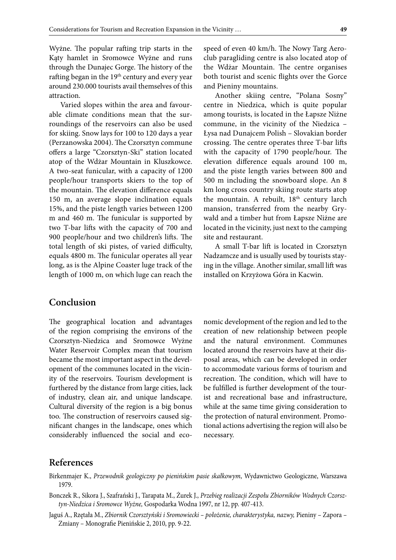Wyżne. The popular rafting trip starts in the Kąty hamlet in Sromowce Wyżne and runs through the Dunajec Gorge. The history of the rafting began in the 19<sup>th</sup> century and every year around 230.000 tourists avail themselves of this attraction.

Varied slopes within the area and favourable climate conditions mean that the surroundings of the reservoirs can also be used for skiing. Snow lays for 100 to 120 days a year (Perzanowska 2004). The Czorsztyn commune offers a large "Czorsztyn-Ski" station located atop of the Wdżar Mountain in Kluszkowce. A two-seat funicular, with a capacity of 1200 people/hour transports skiers to the top of the mountain. The elevation difference equals 150 m, an average slope inclination equals 15%, and the piste length varies between 1200 m and 460 m. The funicular is supported by two T-bar lifts with the capacity of 700 and 900 people/hour and two children's lifts. The total length of ski pistes, of varied difficulty, equals 4800 m. The funicular operates all year long, as is the Alpine Coaster luge track of the length of 1000 m, on which luge can reach the

speed of even 40 km/h. The Nowy Targ Aeroclub paragliding centre is also located atop of the Wdżar Mountain. The centre organises both tourist and scenic flights over the Gorce and Pieniny mountains.

Another skiing centre, "Polana Sosny" centre in Niedzica, which is quite popular among tourists, is located in the Łapsze Niżne commune, in the vicinity of the Niedzica – Łysa nad Dunajcem Polish – Slovakian border crossing. The centre operates three T-bar lifts with the capacity of 1790 people/hour. The elevation difference equals around 100 m, and the piste length varies between 800 and 500 m including the snowboard slope. An 8 km long cross country skiing route starts atop the mountain. A rebuilt, 18<sup>th</sup> century larch mansion, transferred from the nearby Grywałd and a timber hut from Łapsze Niżne are located in the vicinity, just next to the camping site and restaurant.

A small T-bar lift is located in Czorsztyn Nadzamcze and is usually used by tourists staying in the village. Another similar, small lift was installed on Krzyżowa Góra in Kacwin.

### **Conclusion**

The geographical location and advantages of the region comprising the environs of the Czorsztyn-Niedzica and Sromowce Wyżne Water Reservoir Complex mean that tourism became the most important aspect in the development of the communes located in the vicinity of the reservoirs. Tourism development is furthered by the distance from large cities, lack of industry, clean air, and unique landscape. Cultural diversity of the region is a big bonus too. The construction of reservoirs caused significant changes in the landscape, ones which considerably influenced the social and economic development of the region and led to the creation of new relationship between people and the natural environment. Communes located around the reservoirs have at their disposal areas, which can be developed in order to accommodate various forms of tourism and recreation. The condition, which will have to be fulfilled is further development of the tourist and recreational base and infrastructure, while at the same time giving consideration to the protection of natural environment. Promotional actions advertising the region will also be necessary.

#### **References**

- Birkenmajer K., *Przewodnik geologiczny po pienińskim pasie skałkowym*, Wydawnictwo Geologiczne, Warszawa 1979.
- Bonczek R., Sikora J., Szafrański J., Tarapata M., Żurek J., *Przebieg realizacji Zespołu Zbiorników Wodnych Czorsztyn-Niedzica i Sromowce Wyżne,* Gospodarka Wodna 1997, nr 12, pp. 407-413.
- Jaguś A., Rzętała M., *Zbiornik Czorsztyński i Sromowiecki położenie, charakterystyka, nazwy,* Pieniny Zapora Zmiany – Monografie Pienińskie 2, 2010, pp. 9-22.